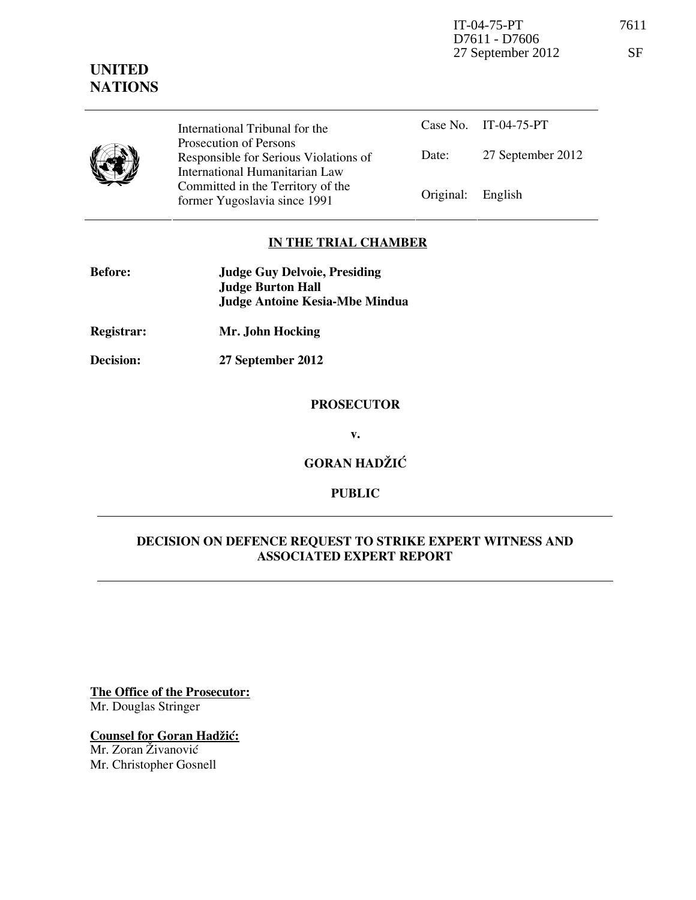IT-04-75-PT 7611 D7611 - D7606 27 September 2012 SF

## **UNITED NATIONS**



International Tribunal for the Prosecution of Persons Responsible for Serious Violations of International Humanitarian Law Committed in the Territory of the Former Yugoslavia since 1991 **Original:** English

Case No. IT-04-75-PT Date: 27 September 2012

### **IN THE TRIAL CHAMBER**

| <b>Before:</b> | <b>Judge Guy Delvoie, Presiding</b> |
|----------------|-------------------------------------|
|                | <b>Judge Burton Hall</b>            |
|                | Judge Antoine Kesia-Mbe Mindua      |

- **Registrar: Mr. John Hocking**
- **Decision: 27 September 2012**

### **PROSECUTOR**

**v.** 

## **GORAN HADŽIĆ**

### **PUBLIC**

### **DECISION ON DEFENCE REQUEST TO STRIKE EXPERT WITNESS AND ASSOCIATED EXPERT REPORT**

**The Office of the Prosecutor:** Mr. Douglas Stringer

# **Counsel for Goran Hadžić:**

Mr. Zoran Živanović Mr. Christopher Gosnell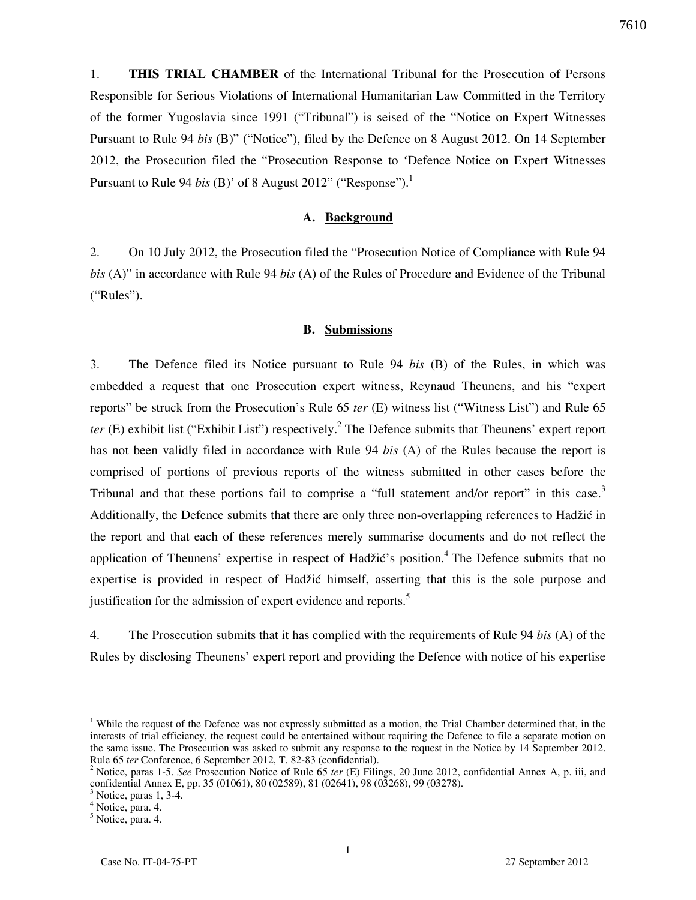1. **THIS TRIAL CHAMBER** of the International Tribunal for the Prosecution of Persons Responsible for Serious Violations of International Humanitarian Law Committed in the Territory of the former Yugoslavia since 1991 ("Tribunal") is seised of the "Notice on Expert Witnesses Pursuant to Rule 94 *bis* (B)" ("Notice"), filed by the Defence on 8 August 2012. On 14 September 2012, the Prosecution filed the "Prosecution Response to 'Defence Notice on Expert Witnesses Pursuant to Rule 94 *bis* (B)' of 8 August 2012" ("Response").<sup>1</sup>

#### **A. Background**

2. On 10 July 2012, the Prosecution filed the "Prosecution Notice of Compliance with Rule 94 *bis* (A)" in accordance with Rule 94 *bis* (A) of the Rules of Procedure and Evidence of the Tribunal ("Rules").

#### **B. Submissions**

3. The Defence filed its Notice pursuant to Rule 94 *bis* (B) of the Rules, in which was embedded a request that one Prosecution expert witness, Reynaud Theunens, and his "expert reports" be struck from the Prosecution's Rule 65 *ter* (E) witness list ("Witness List") and Rule 65 *ter* (E) exhibit list ("Exhibit List") respectively.<sup>2</sup> The Defence submits that Theunens' expert report has not been validly filed in accordance with Rule 94 *bis* (A) of the Rules because the report is comprised of portions of previous reports of the witness submitted in other cases before the Tribunal and that these portions fail to comprise a "full statement and/or report" in this case.<sup>3</sup> Additionally, the Defence submits that there are only three non-overlapping references to Hadžić in the report and that each of these references merely summarise documents and do not reflect the application of Theunens' expertise in respect of Hadžić's position.<sup>4</sup> The Defence submits that no expertise is provided in respect of Hadžić himself, asserting that this is the sole purpose and justification for the admission of expert evidence and reports.<sup>5</sup>

4. The Prosecution submits that it has complied with the requirements of Rule 94 *bis* (A) of the Rules by disclosing Theunens' expert report and providing the Defence with notice of his expertise

 $\overline{a}$ 

<sup>&</sup>lt;sup>1</sup> While the request of the Defence was not expressly submitted as a motion, the Trial Chamber determined that, in the interests of trial efficiency, the request could be entertained without requiring the Defence to file a separate motion on the same issue. The Prosecution was asked to submit any response to the request in the Notice by 14 September 2012. Rule 65 *ter* Conference, 6 September 2012, T. 82-83 (confidential).

<sup>2</sup> Notice, paras 1-5. *See* Prosecution Notice of Rule 65 *ter* (E) Filings, 20 June 2012, confidential Annex A, p. iii, and confidential Annex E, pp. 35 (01061), 80 (02589), 81 (02641), 98 (03268), 99 (03278).

<sup>3</sup> Notice, paras 1, 3-4.

<sup>4</sup> Notice, para. 4.

<sup>&</sup>lt;sup>5</sup> Notice, para. 4.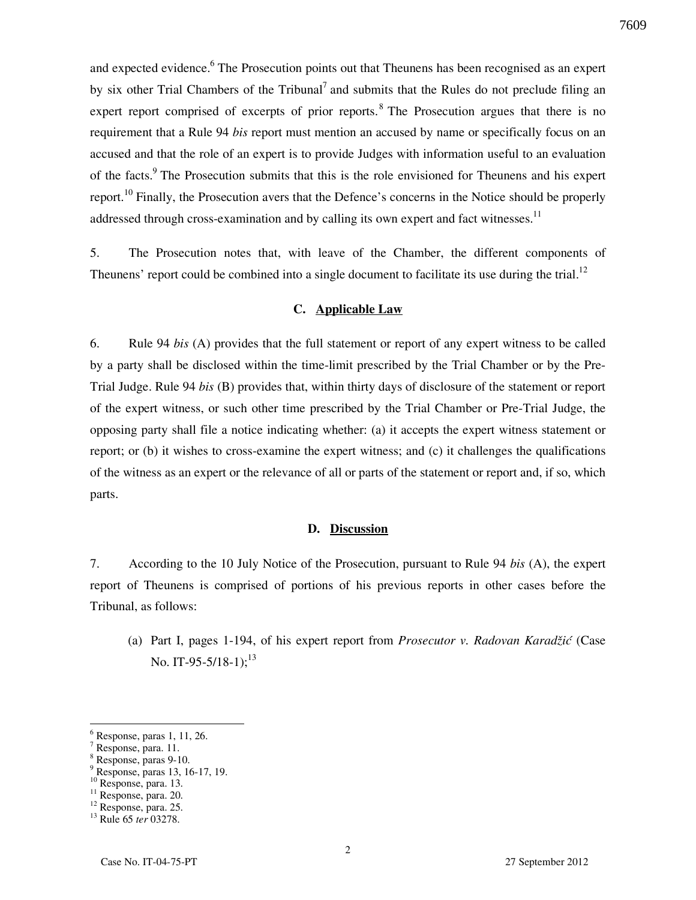and expected evidence.<sup>6</sup> The Prosecution points out that Theunens has been recognised as an expert by six other Trial Chambers of the Tribunal<sup>7</sup> and submits that the Rules do not preclude filing an expert report comprised of excerpts of prior reports.<sup>8</sup> The Prosecution argues that there is no requirement that a Rule 94 *bis* report must mention an accused by name or specifically focus on an accused and that the role of an expert is to provide Judges with information useful to an evaluation of the facts.<sup>9</sup> The Prosecution submits that this is the role envisioned for Theunens and his expert report.<sup>10</sup> Finally, the Prosecution avers that the Defence's concerns in the Notice should be properly addressed through cross-examination and by calling its own expert and fact witnesses.<sup>11</sup>

5. The Prosecution notes that, with leave of the Chamber, the different components of Theunens' report could be combined into a single document to facilitate its use during the trial.<sup>12</sup>

### **C. Applicable Law**

6. Rule 94 *bis* (A) provides that the full statement or report of any expert witness to be called by a party shall be disclosed within the time-limit prescribed by the Trial Chamber or by the Pre-Trial Judge. Rule 94 *bis* (B) provides that, within thirty days of disclosure of the statement or report of the expert witness, or such other time prescribed by the Trial Chamber or Pre-Trial Judge, the opposing party shall file a notice indicating whether: (a) it accepts the expert witness statement or report; or (b) it wishes to cross-examine the expert witness; and (c) it challenges the qualifications of the witness as an expert or the relevance of all or parts of the statement or report and, if so, which parts.

#### **D. Discussion**

7. According to the 10 July Notice of the Prosecution, pursuant to Rule 94 *bis* (A), the expert report of Theunens is comprised of portions of his previous reports in other cases before the Tribunal, as follows:

(a) Part I, pages 1-194, of his expert report from *Prosecutor v. Radovan Karadžić* (Case No. IT-95-5/18-1);<sup>13</sup>

 $\overline{a}$ 

 $<sup>6</sup>$  Response, paras 1, 11, 26.</sup>

<sup>7</sup> Response, para. 11.

<sup>8</sup> Response, paras 9-10.

<sup>9</sup> Response, paras 13, 16-17, 19.

<sup>&</sup>lt;sup>10</sup> Response, para. 13.

<sup>&</sup>lt;sup>11</sup> Response, para. 20.

<sup>12</sup> Response, para. 25.

<sup>13</sup> Rule 65 *ter* 03278.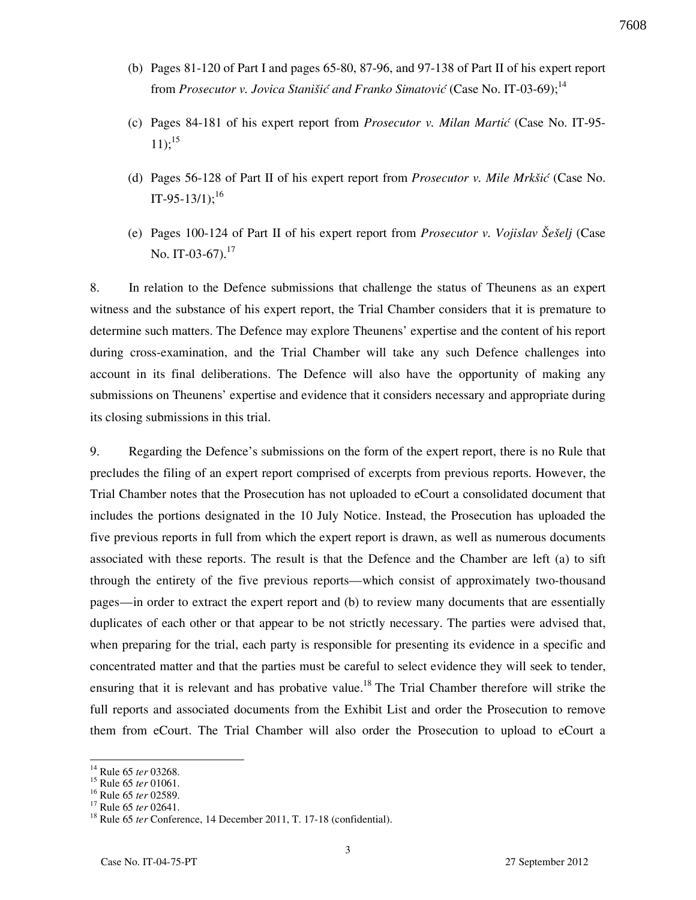- (b) Pages 81-120 of Part I and pages 65-80, 87-96, and 97-138 of Part II of his expert report from *Prosecutor v. Jovica Stanišić and Franko Simatović* (Case No. IT-03-69);<sup>14</sup>
- (c) Pages 84-181 of his expert report from *Prosecutor v. Milan Martić* (Case No. IT-95-  $11$ );<sup>15</sup>
- (d) Pages 56-128 of Part II of his expert report from *Prosecutor v. Mile Mrkšić* (Case No. IT-95-13/1);<sup>16</sup>
- (e) Pages 100-124 of Part II of his expert report from *Prosecutor v. Vojislav Šešelj* (Case No. IT-03-67).<sup>17</sup>

8. In relation to the Defence submissions that challenge the status of Theunens as an expert witness and the substance of his expert report, the Trial Chamber considers that it is premature to determine such matters. The Defence may explore Theunens' expertise and the content of his report during cross-examination, and the Trial Chamber will take any such Defence challenges into account in its final deliberations. The Defence will also have the opportunity of making any submissions on Theunens' expertise and evidence that it considers necessary and appropriate during its closing submissions in this trial.

9. Regarding the Defence's submissions on the form of the expert report, there is no Rule that precludes the filing of an expert report comprised of excerpts from previous reports. However, the Trial Chamber notes that the Prosecution has not uploaded to eCourt a consolidated document that includes the portions designated in the 10 July Notice. Instead, the Prosecution has uploaded the five previous reports in full from which the expert report is drawn, as well as numerous documents associated with these reports. The result is that the Defence and the Chamber are left (a) to sift through the entirety of the five previous reports—which consist of approximately two-thousand pages—in order to extract the expert report and (b) to review many documents that are essentially duplicates of each other or that appear to be not strictly necessary. The parties were advised that, when preparing for the trial, each party is responsible for presenting its evidence in a specific and concentrated matter and that the parties must be careful to select evidence they will seek to tender, ensuring that it is relevant and has probative value.<sup>18</sup> The Trial Chamber therefore will strike the full reports and associated documents from the Exhibit List and order the Prosecution to remove them from eCourt. The Trial Chamber will also order the Prosecution to upload to eCourt a

<sup>14</sup> Rule 65 *ter* 03268.

<sup>15</sup> Rule 65 *ter* 01061.

<sup>16</sup> Rule 65 *ter* 02589.

<sup>17</sup> Rule 65 *ter* 02641.

<sup>18</sup> Rule 65 *ter* Conference, 14 December 2011, T. 17-18 (confidential).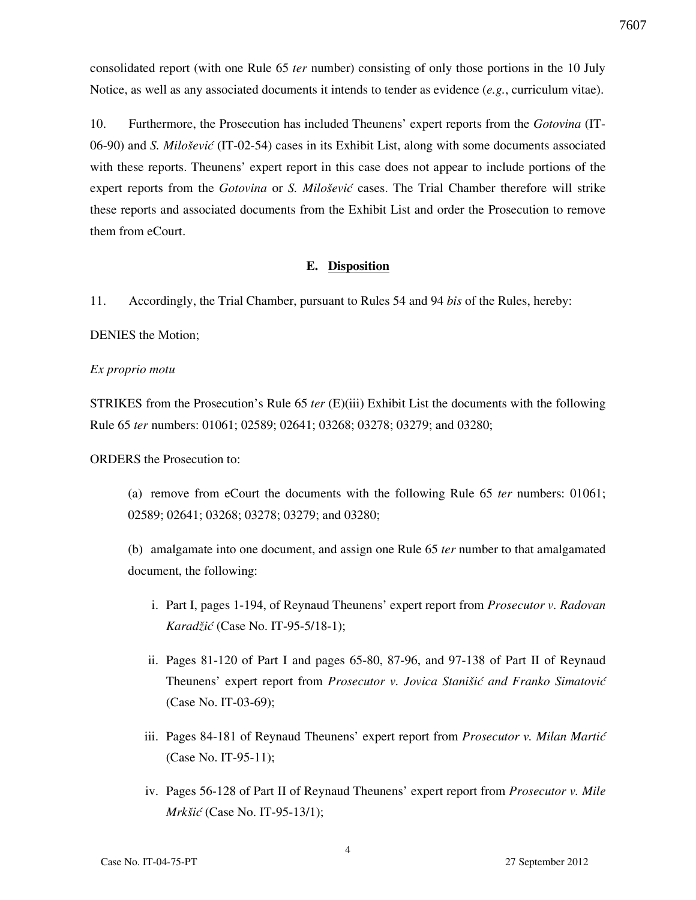consolidated report (with one Rule 65 *ter* number) consisting of only those portions in the 10 July Notice, as well as any associated documents it intends to tender as evidence (*e.g.*, curriculum vitae).

10. Furthermore, the Prosecution has included Theunens' expert reports from the *Gotovina* (IT-06-90) and *S. Milošević* (IT-02-54) cases in its Exhibit List, along with some documents associated with these reports. Theunens' expert report in this case does not appear to include portions of the expert reports from the *Gotovina* or *S. Milošević* cases. The Trial Chamber therefore will strike these reports and associated documents from the Exhibit List and order the Prosecution to remove them from eCourt.

#### **E. Disposition**

11. Accordingly, the Trial Chamber, pursuant to Rules 54 and 94 *bis* of the Rules, hereby:

DENIES the Motion;

#### *Ex proprio motu*

STRIKES from the Prosecution's Rule 65 *ter* (E)(iii) Exhibit List the documents with the following Rule 65 *ter* numbers: 01061; 02589; 02641; 03268; 03278; 03279; and 03280;

ORDERS the Prosecution to:

(a) remove from eCourt the documents with the following Rule 65 *ter* numbers: 01061; 02589; 02641; 03268; 03278; 03279; and 03280;

(b) amalgamate into one document, and assign one Rule 65 *ter* number to that amalgamated document, the following:

- i. Part I, pages 1-194, of Reynaud Theunens' expert report from *Prosecutor v. Radovan Karadžić* (Case No. IT-95-5/18-1);
- ii. Pages 81-120 of Part I and pages 65-80, 87-96, and 97-138 of Part II of Reynaud Theunens' expert report from *Prosecutor v. Jovica Stanišić and Franko Simatović*  (Case No. IT-03-69);
- iii. Pages 84-181 of Reynaud Theunens' expert report from *Prosecutor v. Milan Martić*  (Case No. IT-95-11);
- iv. Pages 56-128 of Part II of Reynaud Theunens' expert report from *Prosecutor v. Mile Mrkšić* (Case No. IT-95-13/1);